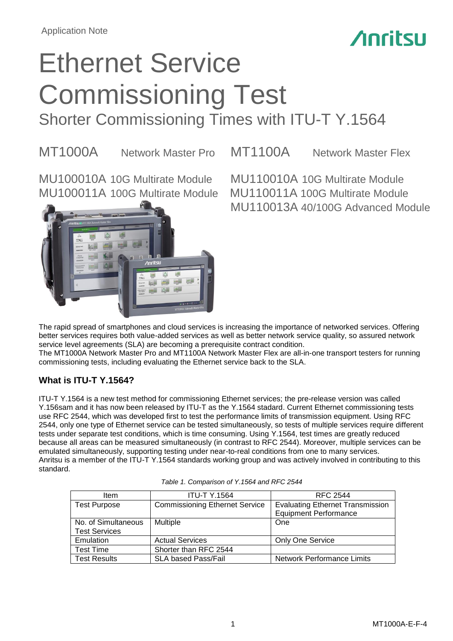## **Anritsu**

## Ethernet Service Commissioning Test Shorter Commissioning Times with ITU-T Y.1564

MT1000A Network Master Pro MT1100A Network Master Flex

MU100011A 100G Multirate Module MU110011A 100G Multirate Module



MU100010A 10G Multirate Module MU110010A 10G Multirate Module MU110013A 40/100G Advanced Module

The rapid spread of smartphones and cloud services is increasing the importance of networked services. Offering better services requires both value-added services as well as better network service quality, so assured network service level agreements (SLA) are becoming a prerequisite contract condition.

The MT1000A Network Master Pro and MT1100A Network Master Flex are all-in-one transport testers for running commissioning tests, including evaluating the Ethernet service back to the SLA.

## **What is ITU-T Y.1564?**

ITU-T Y.1564 is a new test method for commissioning Ethernet services; the pre-release version was called Y.156sam and it has now been released by ITU-T as the Y.1564 stadard. Current Ethernet commissioning tests use RFC 2544, which was developed first to test the performance limits of transmission equipment. Using RFC 2544, only one type of Ethernet service can be tested simultaneously, so tests of multiple services require different tests under separate test conditions, which is time consuming. Using Y.1564, test times are greatly reduced because all areas can be measured simultaneously (in contrast to RFC 2544). Moreover, multiple services can be emulated simultaneously, supporting testing under near-to-real conditions from one to many services. Anritsu is a member of the ITU-T Y.1564 standards working group and was actively involved in contributing to this standard.

| <b>Item</b>          | <b>ITU-T Y.1564</b>                   | RFC 2544                                                                |
|----------------------|---------------------------------------|-------------------------------------------------------------------------|
| <b>Test Purpose</b>  | <b>Commissioning Ethernet Service</b> | <b>Evaluating Ethernet Transmission</b><br><b>Equipment Performance</b> |
| No. of Simultaneous  | <b>Multiple</b>                       | One                                                                     |
| <b>Test Services</b> |                                       |                                                                         |
| Emulation            | <b>Actual Services</b>                | <b>Only One Service</b>                                                 |
| <b>Test Time</b>     | Shorter than RFC 2544                 |                                                                         |
| <b>Test Results</b>  | <b>SLA based Pass/Fail</b>            | <b>Network Performance Limits</b>                                       |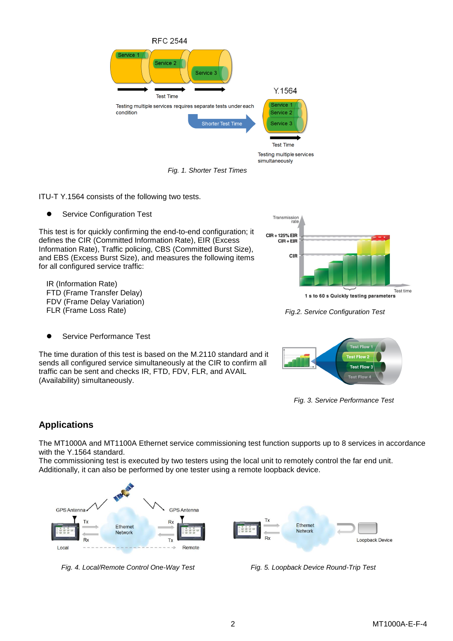

*Fig. 1. Shorter Test Times*

ITU-T Y.1564 consists of the following two tests.

**•** Service Configuration Test

This test is for quickly confirming the end-to-end configuration; it defines the CIR (Committed Information Rate), EIR (Excess Information Rate), Traffic policing, CBS (Committed Burst Size), and EBS (Excess Burst Size), and measures the following items for all configured service traffic:

IR (Information Rate) FTD (Frame Transfer Delay) FDV (Frame Delay Variation) FLR (Frame Loss Rate)



*Fig.2. Service Configuration Test*



The time duration of this test is based on the M.2110 standard and it sends all configured service simultaneously at the CIR to confirm all traffic can be sent and checks IR, FTD, FDV, FLR, and AVAIL (Availability) simultaneously.



*Fig. 3. Service Performance Test*

## **Applications**

The MT1000A and MT1100A Ethernet service commissioning test function supports up to 8 services in accordance with the Y.1564 standard.

The commissioning test is executed by two testers using the local unit to remotely control the far end unit. Additionally, it can also be performed by one tester using a remote loopback device.



*Fig. 4. Local/Remote Control One-Way Test Fig. 5. Loopback Device Round-Trip Test*

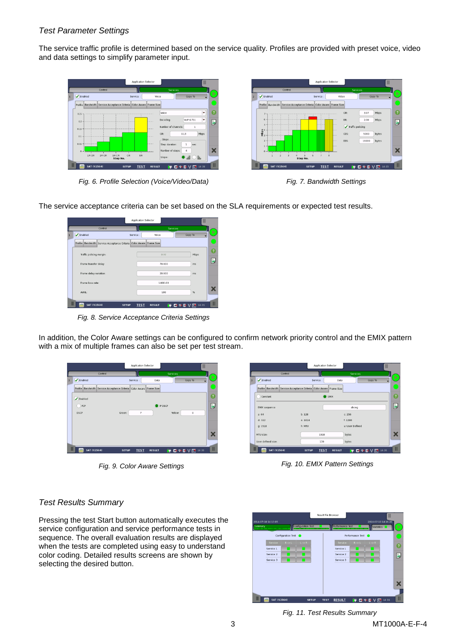## *Test Parameter Settings*

The service traffic profile is determined based on the service quality. Profiles are provided with preset voice, video and data settings to simplify parameter input.





*Fig. 6. Profile Selection (Voice/Video/Data) Fig. 7. Bandwidth Settings*

The service acceptance criteria can be set based on the SLA requirements or expected test results.

|                                                                      | Application Selector        |                    | Ш                       |                |
|----------------------------------------------------------------------|-----------------------------|--------------------|-------------------------|----------------|
| Control                                                              |                             | <b>Services</b>    |                         |                |
| $\blacktriangleright$ Enabled                                        | Service :                   | Voice              | Copy To                 | D              |
| Profile Bandwidth Service Acceptance Criteria Color Aware Frame Size |                             |                    |                         |                |
| Traffic policing margin:                                             |                             | 0.00               | Mbps                    | $\overline{P}$ |
| Frame transfer delay:                                                |                             | 70.000             | ms                      | ă.             |
| Frame delay variation:                                               |                             | 20.000             | ms                      |                |
| Frame loss rate:                                                     |                             | $1.00E - 03$       |                         |                |
| AVAII -                                                              |                             | 100                | %                       | х              |
| <b>SAT (Y.1564)</b>                                                  | <b>TEST</b><br><b>SETUP</b> | ₩<br><b>RESULT</b> | <b>BI WE V EX 14:21</b> | Ш              |

*Fig. 8. Service Acceptance Criteria Settings*

In addition, the Color Aware settings can be configured to confirm network priority control and the EMIX pattern with a mix of multiple frames can also be set per test stream.

|   |                              |                                                                      | Application Selector |               |                           | Ш       |    |
|---|------------------------------|----------------------------------------------------------------------|----------------------|---------------|---------------------------|---------|----|
|   |                              | Control                                                              |                      |               | <b>Services</b>           |         |    |
| 3 | $\blacktriangledown$ Enabled |                                                                      | Service :            | Data          |                           | Copy To | ⋗  |
|   |                              | Profile Bandwidth Service Acceptance Criteria Color Aware Frame Size |                      |               |                           |         |    |
|   | $\triangledown$ Enabled      |                                                                      |                      |               |                           |         | 7  |
|   | ) PCP                        |                                                                      |                      | IP DSCP       |                           |         | ě, |
|   | <b>DSCP</b>                  | Green:                                                               | 7                    |               | Yellow:                   | $\circ$ |    |
|   |                              |                                                                      |                      |               |                           |         |    |
|   |                              |                                                                      |                      |               |                           |         | x  |
|   |                              |                                                                      |                      |               |                           |         |    |
|   | Ⅲ.<br><b>SAT (Y.1564)</b>    | <b>SETUP</b>                                                         | <b>TEST</b>          | <b>RESULT</b> | <b>HO X D V D 4 14 26</b> |         | Ш  |

|                                                                      | Application Selector        |                 | Ш                                 |
|----------------------------------------------------------------------|-----------------------------|-----------------|-----------------------------------|
| Control                                                              |                             | Services        |                                   |
| $\blacktriangleright$ Enabled                                        | Service :                   | Data            | Copy To                           |
| Profile Bandwidth Service Acceptance Criteria Color Aware Frame Size |                             |                 |                                   |
| Constant                                                             | EMIX                        |                 |                                   |
| <b>EMIX</b> sequence                                                 |                             | abceg           |                                   |
| a.64                                                                 | h:128                       | c: 256          |                                   |
| d: 512                                                               | e: 1024                     | f: 1280         |                                   |
| q: 1518                                                              | h: MTU                      | u: User Defined |                                   |
| MTU size:                                                            | 1518                        | bytes           |                                   |
| User defined size:                                                   | 138                         | bytes           |                                   |
| <b>SAT (Y.1564)</b>                                                  | <b>TEST</b><br><b>SETUP</b> | <b>RESULT</b>   | <b>THE CHORA EX EX V EX 14:26</b> |

*Fig. 9. Color Aware Settings Fig. 10. EMIX Pattern Settings*

## *Test Results Summary*

Pressing the test Start button automatically executes the service configuration and service performance tests in sequence. The overall evaluation results are displayed when the tests are completed using easy to understand color coding. Detailed results screens are shown by selecting the desired button.



*Fig. 11. Test Results Summary*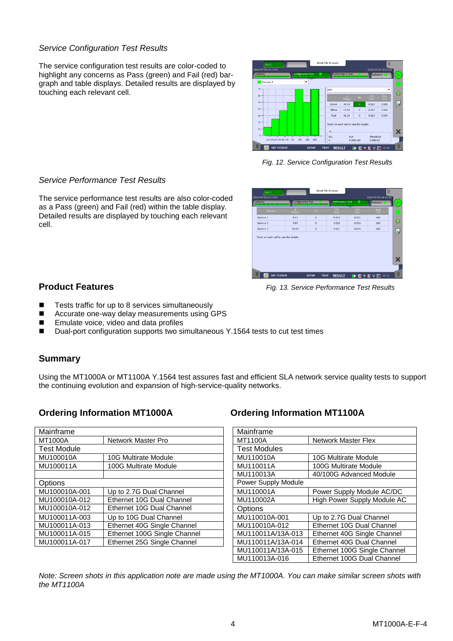## *Service Configuration Test Results*

The service configuration test results are color-coded to highlight any concerns as Pass (green) and Fail (red) bargraph and table displays. Detailed results are displayed by touching each relevant cell.



*Fig. 12. Service Configuration Test Results*

| Summary                               | <b>Configuration Test</b> |         | Performance Test   | ,,,,,,,,,,,,,,,,,,,,,,,,,, | Statistics    |
|---------------------------------------|---------------------------|---------|--------------------|----------------------------|---------------|
| Service                               | <b>IR</b><br>(Mbps)       | FL.     | <b>FTD</b><br>(ms) | FDV<br>(ms)                | Avail<br>(96) |
| Service 1                             | 0.13                      | $\circ$ | 0.109              | 0.001                      | 100           |
| Service 2                             | 3.97                      | $\circ$ | 0.118              | 0.000                      | 100           |
| Service 3                             | 50.00                     | $\circ$ | 0.111              | 0.005                      | 100           |
| Touch on each cell to see the details |                           |         |                    |                            |               |

*Fig. 13. Service Performance Test Results*

## *Service Performance Test Results*

The service performance test results are also color-coded as a Pass (green) and Fail (red) within the table display. Detailed results are displayed by touching each relevant cell.

## **Product Features**

- Tests traffic for up to 8 services simultaneously
- Accurate one-way delay measurements using GPS
- Emulate voice, video and data profiles
- Dual-port configuration supports two simultaneous Y.1564 tests to cut test times

## **Summary**

Using the MT1000A or MT1100A Y.1564 test assures fast and efficient SLA network service quality tests to support the continuing evolution and expansion of high-service-quality networks.

## **Ordering Information MT1000A Ordering Information MT1100A**

| Mainframe          |                              | Mainframe           |                                               |  |
|--------------------|------------------------------|---------------------|-----------------------------------------------|--|
| <b>MT1000A</b>     | Network Master Pro           | <b>MT1100A</b>      | <b>Network Master Flex</b>                    |  |
| <b>Test Module</b> |                              | <b>Test Modules</b> |                                               |  |
| MU100010A          | <b>10G Multirate Module</b>  | MU110010A           | <b>10G Multirate Module</b>                   |  |
| MU100011A          | 100G Multirate Module        | MU110011A           | 100G Multirate Module                         |  |
|                    |                              | MU110013A           | 40/100G Advanced Module                       |  |
| <b>Options</b>     |                              | Power Supply Module |                                               |  |
| MU100010A-001      | Up to 2.7G Dual Channel      | MU110001A           | Power Supply Module AC/DC                     |  |
| MU100010A-012      | Ethernet 10G Dual Channel    | MU110002A           | High Power Supply Module AC                   |  |
| MU100010A-012      | Ethernet 10G Dual Channel    | Options             |                                               |  |
| MU100011A-003      | Up to 10G Dual Channel       | MU110010A-001       | Up to 2.7G Dual Channel                       |  |
| MU100011A-013      | Ethernet 40G Single Channel  | MU110010A-012       | Ethernet 10G Dual Channel                     |  |
| MU100011A-015      | Ethernet 100G Single Channel | MU110011A/13A-013   | Ethernet 40G Single Channel                   |  |
| MU100011A-017      | Ethernet 25G Single Channel  | MU110011A/13A-014   | Ethernet 40G Dual Channel                     |  |
|                    |                              | . <del>.</del>      | -<br>$\sim$ 10000 $\sim$ $\sim$ $\sim$ $\sim$ |  |

| Mainframe                              |                              |  |  |  |
|----------------------------------------|------------------------------|--|--|--|
| MT1100A                                | Network Master Flex          |  |  |  |
| <b>Test Modules</b>                    |                              |  |  |  |
| MU110010A                              | <b>10G Multirate Module</b>  |  |  |  |
| MU110011A                              | 100G Multirate Module        |  |  |  |
| MU110013A                              | 40/100G Advanced Module      |  |  |  |
| Power Supply Module                    |                              |  |  |  |
| MU110001A<br>Power Supply Module AC/DC |                              |  |  |  |
| MU110002A                              | High Power Supply Module AC  |  |  |  |
| Options                                |                              |  |  |  |
| MU110010A-001                          | Up to 2.7G Dual Channel      |  |  |  |
| MU110010A-012                          | Ethernet 10G Dual Channel    |  |  |  |
| MU110011A/13A-013                      | Ethernet 40G Single Channel  |  |  |  |
| MU110011A/13A-014                      | Ethernet 40G Dual Channel    |  |  |  |
| MU110011A/13A-015                      | Ethernet 100G Single Channel |  |  |  |
| MU110013A-016                          | Ethernet 100G Dual Channel   |  |  |  |

*Note: Screen shots in this application note are made using the MT1000A. You can make similar screen shots with the MT1100A*